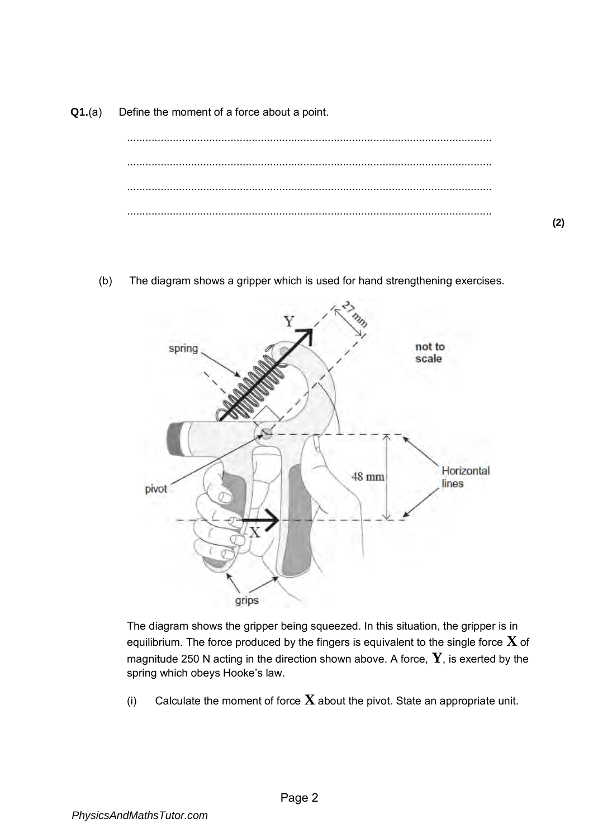**Q1.**(a) Define the moment of a force about a point.



(b) The diagram shows a gripper which is used for hand strengthening exercises.



The diagram shows the gripper being squeezed. In this situation, the gripper is in equilibrium. The force produced by the fingers is equivalent to the single force **X** of magnitude 250 N acting in the direction shown above. A force, **Y**, is exerted by the spring which obeys Hooke's law.

(i) Calculate the moment of force **X** about the pivot. State an appropriate unit.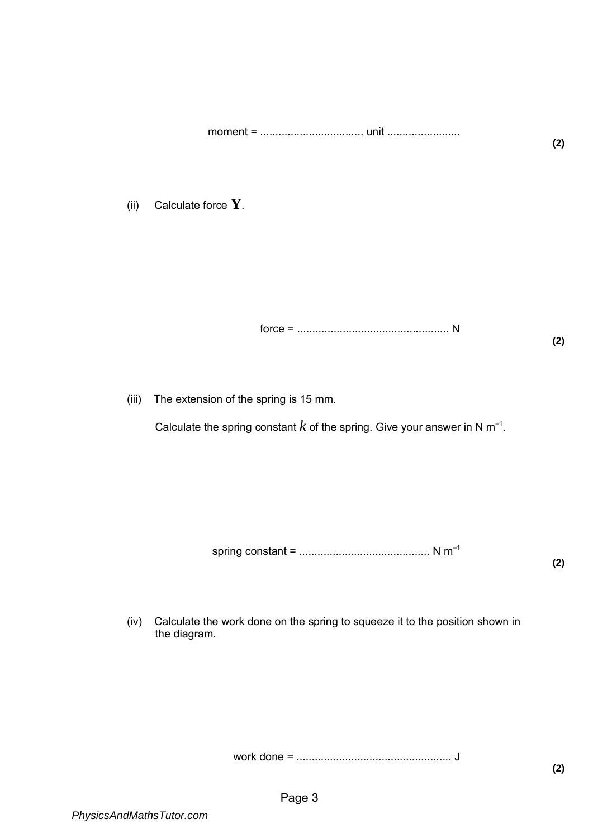moment = .................................. unit ........................

(ii) Calculate force **Y**.

force = .................................................. N

(iii) The extension of the spring is 15 mm.

Calculate the spring constant  $k$  of the spring. Give your answer in N  $\mathsf{m}^{\text{-}1}.$ 

spring constant = ........................................... N m–1

**(2)** 

(iv) Calculate the work done on the spring to squeeze it to the position shown in the diagram.

work done = ................................................... J

**(2)**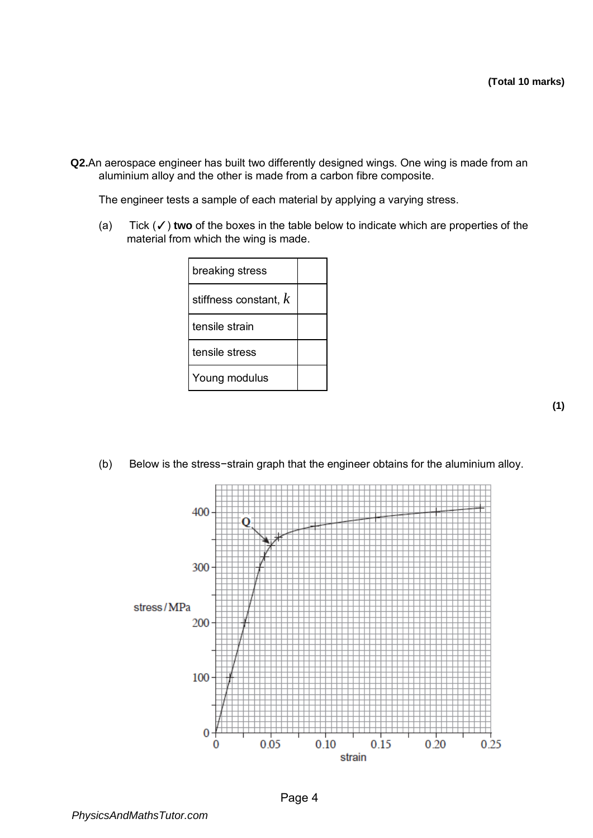**Q2.**An aerospace engineer has built two differently designed wings. One wing is made from an aluminium alloy and the other is made from a carbon fibre composite.

The engineer tests a sample of each material by applying a varying stress.

(a) Tick (✓) **two** of the boxes in the table below to indicate which are properties of the material from which the wing is made.

| breaking stress         |  |
|-------------------------|--|
| stiffness constant, $k$ |  |
| tensile strain          |  |
| tensile stress          |  |
| Young modulus           |  |

(b) Below is the stress−strain graph that the engineer obtains for the aluminium alloy.

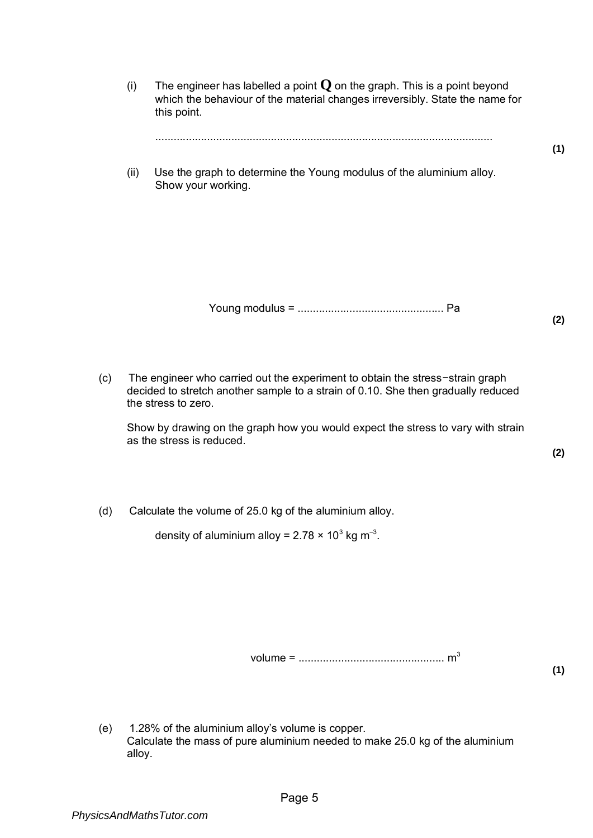- (i) The engineer has labelled a point  $Q$  on the graph. This is a point beyond which the behaviour of the material changes irreversibly. State the name for this point. ............................................................................................................... **(1)**  (ii) Use the graph to determine the Young modulus of the aluminium alloy. Show your working. Young modulus = ................................................ Pa **(2)**
- (c) The engineer who carried out the experiment to obtain the stress−strain graph decided to stretch another sample to a strain of 0.10. She then gradually reduced the stress to zero.

Show by drawing on the graph how you would expect the stress to vary with strain as the stress is reduced.

**(2)** 

(d) Calculate the volume of 25.0 kg of the aluminium alloy.

density of aluminium alloy = 2.78 × 10 $^3$  kg m $^{-3}$ .

volume = ................................................ m<sup>3</sup>

**(1)** 

(e) 1.28% of the aluminium alloy's volume is copper. Calculate the mass of pure aluminium needed to make 25.0 kg of the aluminium alloy.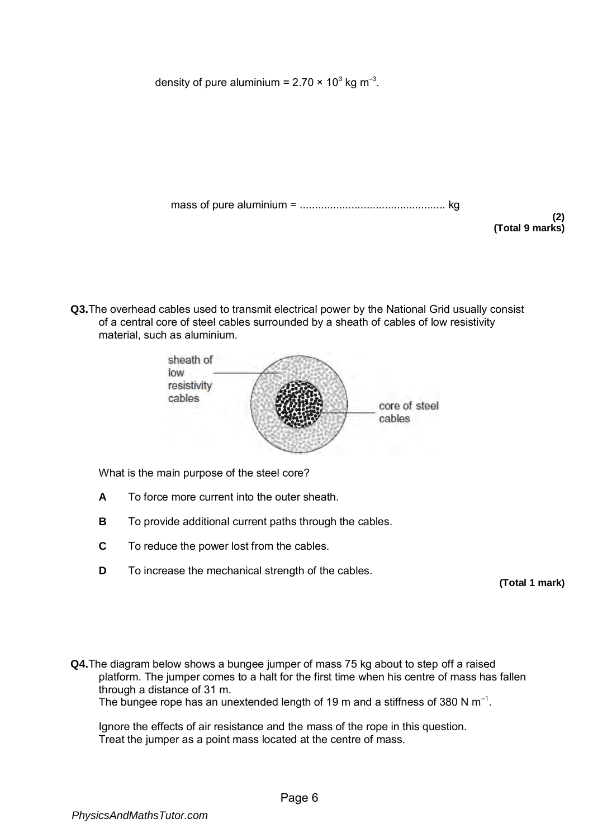density of pure aluminium = 2.70 × 10 $^3$  kg m $^{-3}$ .

mass of pure aluminium = ................................................ kg

**(2) (Total 9 marks)** 

**Q3.**The overhead cables used to transmit electrical power by the National Grid usually consist of a central core of steel cables surrounded by a sheath of cables of low resistivity material, such as aluminium.



What is the main purpose of the steel core?

- **A** To force more current into the outer sheath.
- **B** To provide additional current paths through the cables.
- **C** To reduce the power lost from the cables.
- **D** To increase the mechanical strength of the cables.

**(Total 1 mark)** 

**Q4.**The diagram below shows a bungee jumper of mass 75 kg about to step off a raised platform. The jumper comes to a halt for the first time when his centre of mass has fallen through a distance of 31 m. The bungee rope has an unextended length of 19 m and a stiffness of 380 N  $\mathsf{m}^{\text{-}1}.$ 

Ignore the effects of air resistance and the mass of the rope in this question. Treat the jumper as a point mass located at the centre of mass.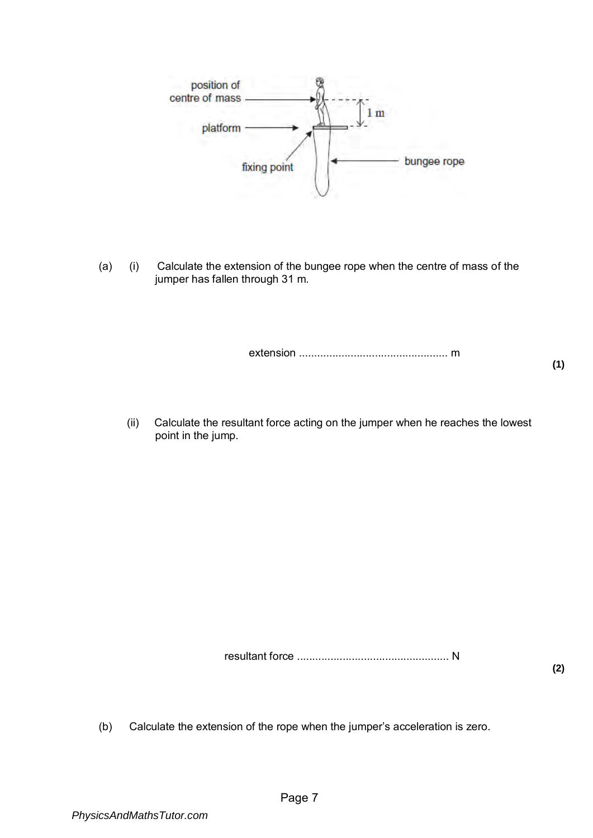

(a) (i) Calculate the extension of the bungee rope when the centre of mass of the jumper has fallen through 31 m.

extension ................................................. m

**(1)** 

(ii) Calculate the resultant force acting on the jumper when he reaches the lowest point in the jump.

resultant force .................................................. N

**(2)** 

(b) Calculate the extension of the rope when the jumper's acceleration is zero.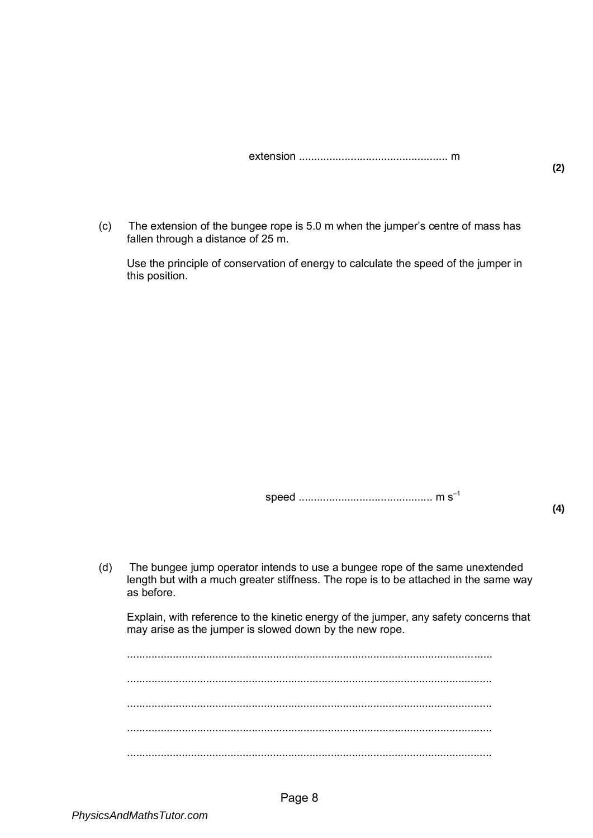|--|--|--|

(c) The extension of the bungee rope is 5.0 m when the jumper's centre of mass has fallen through a distance of 25 m.

Use the principle of conservation of energy to calculate the speed of the jumper in this position.

speed ............................................ m s–1

**(2)** 

(d) The bungee jump operator intends to use a bungee rope of the same unextended length but with a much greater stiffness. The rope is to be attached in the same way as before.

Explain, with reference to the kinetic energy of the jumper, any safety concerns that may arise as the jumper is slowed down by the new rope.

........................................................................................................................ ........................................................................................................................ ........................................................................................................................ ........................................................................................................................ ........................................................................................................................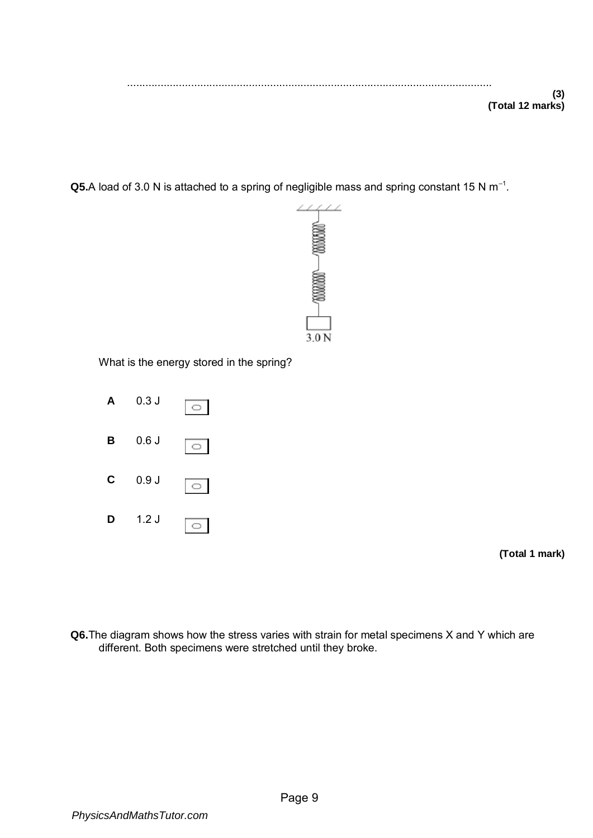**Q5.**A load of 3.0 N is attached to a spring of negligible mass and spring constant 15 N  $m^{-1}$ .



What is the energy stored in the spring?



**(Total 1 mark)** 

**Q6.**The diagram shows how the stress varies with strain for metal specimens X and Y which are different. Both specimens were stretched until they broke.